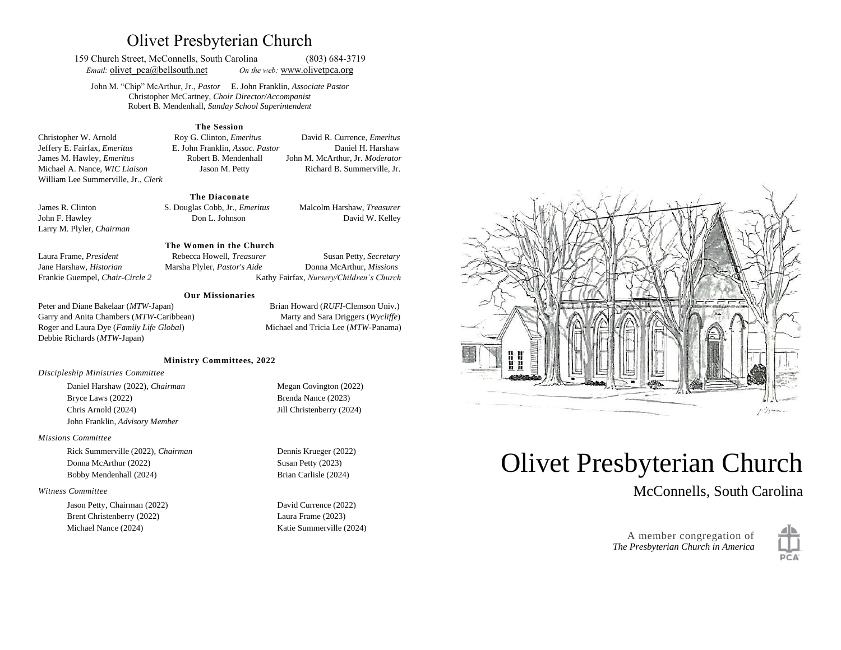# Olivet Presbyterian Church

159 Church Street, McConnells, South Carolina (803) 684-3719 *Email:* **olivet**  $pca@bellsouth.net$  *On the web:* [www.olivetp](http://www.olivet/)ca.org

John M. "Chip" McArthur, Jr., *Pastor* E. John Franklin, *Associate Pastor* Christopher McCartney, *Choir Director/Accompanist* Robert B. Mendenhall, *Sunday School Superintendent*

#### **The Session**

Christopher W. Arnold Roy G. Clinton, *Emeritus* David R. Currence, *Emeritus* Jeffery E. Fairfax, *Emeritus* E. John Franklin, *Assoc. Pastor* Daniel H. Harshaw James M. Hawley, *Emeritus* Robert B. Mendenhall John M. McArthur, Jr. *Moderator* Michael A. Nance, *WIC Liaison* Jason M. Petty Richard B. Summerville, Jr. William Lee Summerville, Jr., *Clerk*

#### **The Diaconate**

Larry M. Plyler, *Chairman* 

James R. Clinton S. Douglas Cobb, Jr., *Emeritus* Malcolm Harshaw, *Treasurer* John F. Hawley Don L. Johnson David W. Kelley

#### **The Women in the Church**

Laura Frame, *President* Rebecca Howell, *Treasurer* Susan Petty, *Secretary*  Jane Harshaw, *Historian* Marsha Plyler, *Pastor's Aide* Donna McArthur, *Missions* Frankie Guempel, *Chair-Circle 2* Kathy Fairfax, *Nursery/Children's Church*

#### **Our Missionaries**

Peter and Diane Bakelaar (*MTW*-Japan) Brian Howard (*RUFI*-Clemson Univ.) Garry and Anita Chambers (*MTW*-Caribbean) Marty and Sara Driggers (*Wycliffe*) Roger and Laura Dye (*Family Life Global*) Michael and Tricia Lee (*MTW*-Panama) Debbie Richards (*MTW*-Japan)

#### **Ministry Committees, 2022**

*Discipleship Ministries Committee*

Daniel Harshaw (2022), *Chairman* Megan Covington (2022) Bryce Laws (2022) Brenda Nance (2023) Chris Arnold (2024) Jill Christenberry (2024) John Franklin, *Advisory Member*

#### *Missions Committee*

Rick Summerville (2022), *Chairman* Dennis Krueger (2022) Donna McArthur (2022) Susan Petty (2023) Bobby Mendenhall (2024) Brian Carlisle (2024)

#### *Witness Committee*

Jason Petty, Chairman (2022) David Currence (2022) Brent Christenberry (2022) Laura Frame (2023) Michael Nance (2024) Katie Summerville (2024)



# Olivet Presbyterian Church

McConnells, South Carolina



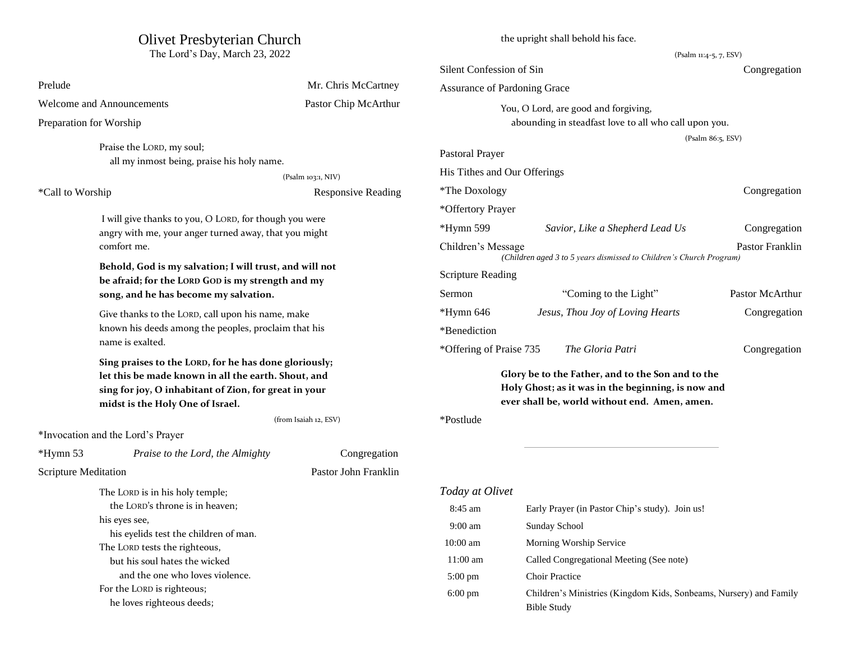# Olivet Presbyterian Church

The Lord's Day, March 23, 2022

|                                                                                                                                                                                                           |                                                                                            |                           | Silent Confession of Sin                           |                                                                     | Congregation           |
|-----------------------------------------------------------------------------------------------------------------------------------------------------------------------------------------------------------|--------------------------------------------------------------------------------------------|---------------------------|----------------------------------------------------|---------------------------------------------------------------------|------------------------|
| Prelude                                                                                                                                                                                                   |                                                                                            | Mr. Chris McCartney       | Assurance of Pardoning Grace                       |                                                                     |                        |
| Welcome and Announcements                                                                                                                                                                                 |                                                                                            | Pastor Chip McArthur      | You, O Lord, are good and forgiving,               |                                                                     |                        |
| Preparation for Worship                                                                                                                                                                                   |                                                                                            |                           |                                                    | abounding in steadfast love to all who call upon you.               |                        |
|                                                                                                                                                                                                           |                                                                                            |                           |                                                    |                                                                     | (Psalm 86:5, ESV)      |
| Praise the LORD, my soul;                                                                                                                                                                                 | all my inmost being, praise his holy name.                                                 |                           | Pastoral Prayer                                    |                                                                     |                        |
|                                                                                                                                                                                                           |                                                                                            | (Psalm 103:1, NIV)        | His Tithes and Our Offerings                       |                                                                     |                        |
| *Call to Worship                                                                                                                                                                                          |                                                                                            | <b>Responsive Reading</b> | *The Doxology                                      |                                                                     | Congregation           |
|                                                                                                                                                                                                           |                                                                                            |                           | *Offertory Prayer                                  |                                                                     |                        |
|                                                                                                                                                                                                           | I will give thanks to you, O LORD, for though you were                                     |                           | $*Hymn 599$                                        |                                                                     |                        |
|                                                                                                                                                                                                           | angry with me, your anger turned away, that you might                                      |                           |                                                    | Savior, Like a Shepherd Lead Us                                     | Congregation           |
| comfort me.                                                                                                                                                                                               |                                                                                            |                           | Children's Message                                 | (Children aged 3 to 5 years dismissed to Children's Church Program) | <b>Pastor Franklin</b> |
|                                                                                                                                                                                                           | Behold, God is my salvation; I will trust, and will not                                    |                           | <b>Scripture Reading</b>                           |                                                                     |                        |
|                                                                                                                                                                                                           | be afraid; for the LORD GOD is my strength and my<br>song, and he has become my salvation. |                           | Sermon                                             | "Coming to the Light"                                               | Pastor McArthur        |
|                                                                                                                                                                                                           |                                                                                            |                           |                                                    |                                                                     |                        |
| Give thanks to the LORD, call upon his name, make                                                                                                                                                         |                                                                                            |                           | *Hymn 646                                          | Jesus, Thou Joy of Loving Hearts                                    | Congregation           |
| name is exalted.                                                                                                                                                                                          | known his deeds among the peoples, proclaim that his                                       |                           | *Benediction                                       |                                                                     |                        |
|                                                                                                                                                                                                           |                                                                                            |                           | *Offering of Praise 735                            | The Gloria Patri                                                    | Congregation           |
| Sing praises to the LORD, for he has done gloriously;<br>let this be made known in all the earth. Shout, and<br>sing for joy, O inhabitant of Zion, for great in your<br>midst is the Holy One of Israel. |                                                                                            |                           | Glory be to the Father, and to the Son and to the  |                                                                     |                        |
|                                                                                                                                                                                                           |                                                                                            |                           | Holy Ghost; as it was in the beginning, is now and |                                                                     |                        |
|                                                                                                                                                                                                           |                                                                                            |                           | ever shall be, world without end. Amen, amen.      |                                                                     |                        |
|                                                                                                                                                                                                           |                                                                                            | (from Isaiah 12, ESV)     | *Postlude                                          |                                                                     |                        |
| *Invocation and the Lord's Prayer                                                                                                                                                                         |                                                                                            |                           |                                                    |                                                                     |                        |
| *Hymn 53                                                                                                                                                                                                  | Praise to the Lord, the Almighty                                                           | Congregation              |                                                    |                                                                     |                        |
| Scripture Meditation                                                                                                                                                                                      |                                                                                            | Pastor John Franklin      |                                                    |                                                                     |                        |
| The LORD is in his holy temple;                                                                                                                                                                           |                                                                                            |                           | Today at Olivet                                    |                                                                     |                        |
|                                                                                                                                                                                                           | the LORD's throne is in heaven;                                                            |                           | 8:45 am                                            | Early Prayer (in Pastor Chip's study). Join us!                     |                        |
| his eyes see,                                                                                                                                                                                             |                                                                                            |                           | $9:00$ am                                          | Sunday School                                                       |                        |
| his eyelids test the children of man.                                                                                                                                                                     |                                                                                            | 10:00 am                  | Morning Worship Service                            |                                                                     |                        |
| The LORD tests the righteous,                                                                                                                                                                             |                                                                                            |                           | $11:00$ am                                         | Called Congregational Meeting (See note)                            |                        |
| but his soul hates the wicked<br>and the one who loves violence.                                                                                                                                          |                                                                                            |                           | 5:00 pm                                            | <b>Choir Practice</b>                                               |                        |
| For the LORD is righteous;                                                                                                                                                                                |                                                                                            |                           | $6:00$ pm                                          | Children's Ministries (Kingdom Kids, Sonbeams, Nursery) and Family  |                        |
| he loves righteous deeds;                                                                                                                                                                                 |                                                                                            |                           |                                                    | <b>Bible Study</b>                                                  |                        |

the upright shall behold his face.

(Psalm 11:4-5, 7, ESV)